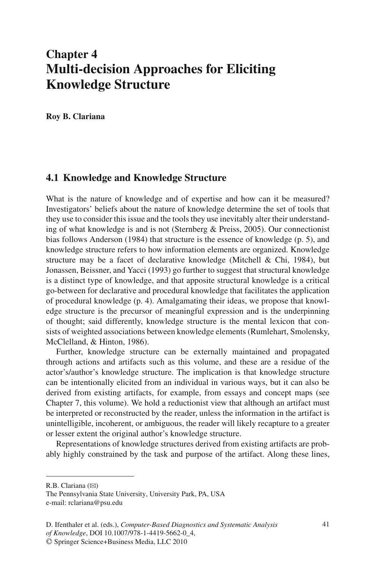# **Chapter 4 Multi-decision Approaches for Eliciting Knowledge Structure**

**Roy B. Clariana**

## **4.1 Knowledge and Knowledge Structure**

What is the nature of knowledge and of expertise and how can it be measured? Investigators' beliefs about the nature of knowledge determine the set of tools that they use to consider this issue and the tools they use inevitably alter their understanding of what knowledge is and is not (Sternberg & Preiss, [2005\)](#page-18-0). Our connectionist bias follows Anderson [\(1984\)](#page-17-0) that structure is the essence of knowledge (p. 5), and knowledge structure refers to how information elements are organized. Knowledge structure may be a facet of declarative knowledge (Mitchell & Chi, [1984\)](#page-17-1), but Jonassen, Beissner, and Yacci [\(1993\)](#page-17-2) go further to suggest that structural knowledge is a distinct type of knowledge, and that apposite structural knowledge is a critical go-between for declarative and procedural knowledge that facilitates the application of procedural knowledge (p. 4). Amalgamating their ideas, we propose that knowledge structure is the precursor of meaningful expression and is the underpinning of thought; said differently, knowledge structure is the mental lexicon that consists of weighted associations between knowledge elements (Rumlehart, Smolensky, McClelland, & Hinton, [1986\)](#page-17-3).

Further, knowledge structure can be externally maintained and propagated through actions and artifacts such as this volume, and these are a residue of the actor's/author's knowledge structure. The implication is that knowledge structure can be intentionally elicited from an individual in various ways, but it can also be derived from existing artifacts, for example, from essays and concept maps (see Chapter 7, this volume). We hold a reductionist view that although an artifact must be interpreted or reconstructed by the reader, unless the information in the artifact is unintelligible, incoherent, or ambiguous, the reader will likely recapture to a greater or lesser extent the original author's knowledge structure.

Representations of knowledge structures derived from existing artifacts are probably highly constrained by the task and purpose of the artifact. Along these lines,

*of Knowledge*, DOI 10.1007/978-1-4419-5662-0\_4,

R.B. Clariana (⊠)

The Pennsylvania State University, University Park, PA, USA e-mail: rclariana@psu.edu

D. Ifenthaler et al. (eds.), *Computer-Based Diagnostics and Systematic Analysis* 41

<sup>-</sup>C Springer Science+Business Media, LLC 2010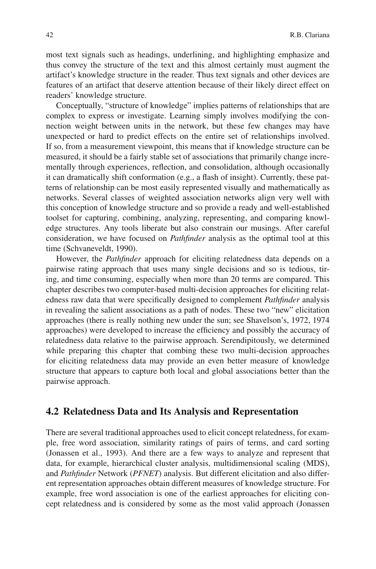most text signals such as headings, underlining, and highlighting emphasize and thus convey the structure of the text and this almost certainly must augment the artifact's knowledge structure in the reader. Thus text signals and other devices are features of an artifact that deserve attention because of their likely direct effect on readers' knowledge structure.

Conceptually, "structure of knowledge" implies patterns of relationships that are complex to express or investigate. Learning simply involves modifying the connection weight between units in the network, but these few changes may have unexpected or hard to predict effects on the entire set of relationships involved. If so, from a measurement viewpoint, this means that if knowledge structure can be measured, it should be a fairly stable set of associations that primarily change incrementally through experiences, reflection, and consolidation, although occasionally it can dramatically shift conformation (e.g., a flash of insight). Currently, these patterns of relationship can be most easily represented visually and mathematically as networks. Several classes of weighted association networks align very well with this conception of knowledge structure and so provide a ready and well-established toolset for capturing, combining, analyzing, representing, and comparing knowledge structures. Any tools liberate but also constrain our musings. After careful consideration, we have focused on *Pathfinder* analysis as the optimal tool at this time (Schvaneveldt, [1990\)](#page-18-1).

However, the *Pathfinder* approach for eliciting relatedness data depends on a pairwise rating approach that uses many single decisions and so is tedious, tiring, and time consuming, especially when more than 20 terms are compared. This chapter describes two computer-based multi-decision approaches for eliciting relatedness raw data that were specifically designed to complement *Pathfinder* analysis in revealing the salient associations as a path of nodes. These two "new" elicitation approaches (there is really nothing new under the sun; see Shavelson's, 1972, 1974 approaches) were developed to increase the efficiency and possibly the accuracy of relatedness data relative to the pairwise approach. Serendipitously, we determined while preparing this chapter that combing these two multi-decision approaches for eliciting relatedness data may provide an even better measure of knowledge structure that appears to capture both local and global associations better than the pairwise approach.

### **4.2 Relatedness Data and Its Analysis and Representation**

There are several traditional approaches used to elicit concept relatedness, for example, free word association, similarity ratings of pairs of terms, and card sorting (Jonassen et al., [1993\)](#page-17-2). And there are a few ways to analyze and represent that data, for example, hierarchical cluster analysis, multidimensional scaling (MDS), and *Pathfinder* Network (*PFNET*) analysis. But different elicitation and also different representation approaches obtain different measures of knowledge structure. For example, free word association is one of the earliest approaches for eliciting concept relatedness and is considered by some as the most valid approach (Jonassen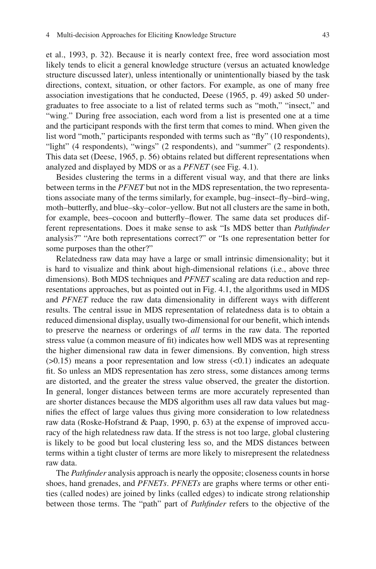et al., [1993,](#page-17-2) p. 32). Because it is nearly context free, free word association most likely tends to elicit a general knowledge structure (versus an actuated knowledge structure discussed later), unless intentionally or unintentionally biased by the task directions, context, situation, or other factors. For example, as one of many free association investigations that he conducted, Deese [\(1965,](#page-17-4) p. 49) asked 50 undergraduates to free associate to a list of related terms such as "moth," "insect," and "wing." During free association, each word from a list is presented one at a time and the participant responds with the first term that comes to mind. When given the list word "moth," participants responded with terms such as "fly" (10 respondents), "light" (4 respondents), "wings" (2 respondents), and "summer" (2 respondents). This data set (Deese, [1965,](#page-17-4) p. 56) obtains related but different representations when analyzed and displayed by MDS or as a *PFNET* (see Fig. [4.1\)](#page-3-0).

Besides clustering the terms in a different visual way, and that there are links between terms in the *PFNET* but not in the MDS representation, the two representations associate many of the terms similarly, for example, bug–insect–fly–bird–wing, moth–butterfly, and blue–sky–color–yellow. But not all clusters are the same in both, for example, bees–cocoon and butterfly–flower. The same data set produces different representations. Does it make sense to ask "Is MDS better than *Pathfinder* analysis?" "Are both representations correct?" or "Is one representation better for some purposes than the other?"

Relatedness raw data may have a large or small intrinsic dimensionality; but it is hard to visualize and think about high-dimensional relations (i.e., above three dimensions). Both MDS techniques and *PFNET* scaling are data reduction and representations approaches, but as pointed out in Fig. [4.1,](#page-3-0) the algorithms used in MDS and *PFNET* reduce the raw data dimensionality in different ways with different results. The central issue in MDS representation of relatedness data is to obtain a reduced dimensional display, usually two-dimensional for our benefit, which intends to preserve the nearness or orderings of *all* terms in the raw data. The reported stress value (a common measure of fit) indicates how well MDS was at representing the higher dimensional raw data in fewer dimensions. By convention, high stress  $(0.15)$  means a poor representation and low stress  $(0.1)$  indicates an adequate fit. So unless an MDS representation has zero stress, some distances among terms are distorted, and the greater the stress value observed, the greater the distortion. In general, longer distances between terms are more accurately represented than are shorter distances because the MDS algorithm uses all raw data values but magnifies the effect of large values thus giving more consideration to low relatedness raw data (Roske-Hofstrand & Paap, [1990,](#page-17-5) p. 63) at the expense of improved accuracy of the high relatedness raw data. If the stress is not too large, global clustering is likely to be good but local clustering less so, and the MDS distances between terms within a tight cluster of terms are more likely to misrepresent the relatedness raw data.

The *Pathfinder* analysis approach is nearly the opposite; closeness counts in horse shoes, hand grenades, and *PFNETs*. *PFNETs* are graphs where terms or other entities (called nodes) are joined by links (called edges) to indicate strong relationship between those terms. The "path" part of *Pathfinder* refers to the objective of the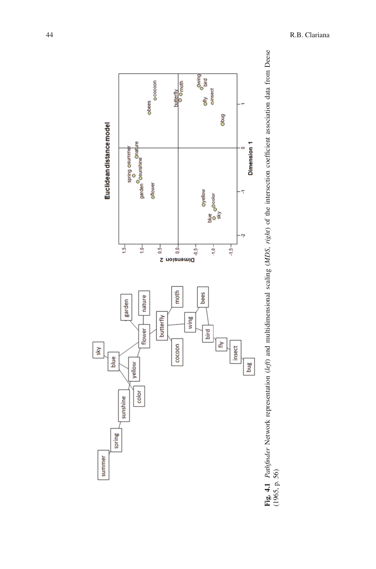<span id="page-3-0"></span>ofly<br>ofly bird<br>oinsect butterfly<br>O Omoth ococoon obees Obug Euclidean distance model spring osummer<br>garden <sup>O</sup>osunshine<br>garden Osunshine Dimension 1 oflower oyellow blue<br>O Ocolor<br>sky  $-1,0 15 ^{10-}$ <u>င် noianamiO</u><br>မို့ မို့ မို့  $0.5 -1,5$ moth bees nature garden butterfly wing flower bird fly cocoon insect sky blue yellow anq color sunshine spring summer

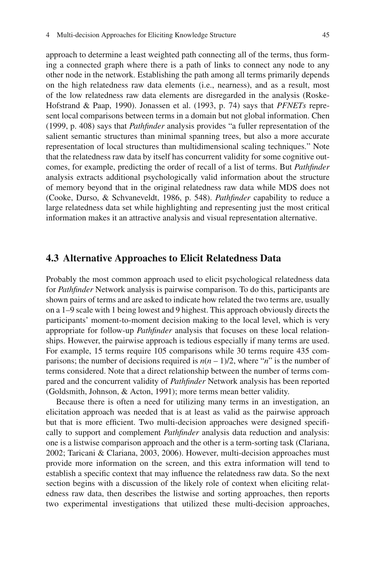approach to determine a least weighted path connecting all of the terms, thus forming a connected graph where there is a path of links to connect any node to any other node in the network. Establishing the path among all terms primarily depends on the high relatedness raw data elements (i.e., nearness), and as a result, most of the low relatedness raw data elements are disregarded in the analysis (Roske-Hofstrand & Paap, [1990\)](#page-17-5). Jonassen et al. (1993, p. 74) says that *PFNETs* represent local comparisons between terms in a domain but not global information. Chen (1999, p. 408) says that *Pathfinder* analysis provides "a fuller representation of the salient semantic structures than minimal spanning trees, but also a more accurate representation of local structures than multidimensional scaling techniques." Note that the relatedness raw data by itself has concurrent validity for some cognitive outcomes, for example, predicting the order of recall of a list of terms. But *Pathfinder* analysis extracts additional psychologically valid information about the structure of memory beyond that in the original relatedness raw data while MDS does not (Cooke, Durso, & Schvaneveldt, [1986,](#page-17-6) p. 548). *Pathfinder* capability to reduce a large relatedness data set while highlighting and representing just the most critical information makes it an attractive analysis and visual representation alternative.

#### **4.3 Alternative Approaches to Elicit Relatedness Data**

Probably the most common approach used to elicit psychological relatedness data for *Pathfinder* Network analysis is pairwise comparison. To do this, participants are shown pairs of terms and are asked to indicate how related the two terms are, usually on a 1–9 scale with 1 being lowest and 9 highest. This approach obviously directs the participants' moment-to-moment decision making to the local level, which is very appropriate for follow-up *Pathfinder* analysis that focuses on these local relationships. However, the pairwise approach is tedious especially if many terms are used. For example, 15 terms require 105 comparisons while 30 terms require 435 comparisons; the number of decisions required is  $n(n-1)/2$ , where "*n*" is the number of terms considered. Note that a direct relationship between the number of terms compared and the concurrent validity of *Pathfinder* Network analysis has been reported (Goldsmith, Johnson, & Acton, [1991\)](#page-17-7); more terms mean better validity.

Because there is often a need for utilizing many terms in an investigation, an elicitation approach was needed that is at least as valid as the pairwise approach but that is more efficient. Two multi-decision approaches were designed specifically to support and complement *Pathfinder* analysis data reduction and analysis: one is a listwise comparison approach and the other is a term-sorting task (Clariana, 2002; Taricani & Clariana, 2003, 2006). However, multi-decision approaches must provide more information on the screen, and this extra information will tend to establish a specific context that may influence the relatedness raw data. So the next section begins with a discussion of the likely role of context when eliciting relatedness raw data, then describes the listwise and sorting approaches, then reports two experimental investigations that utilized these multi-decision approaches,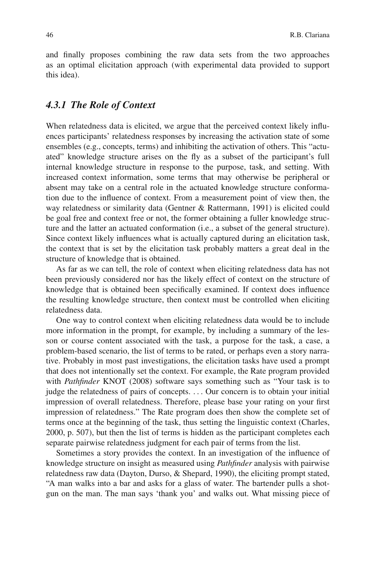and finally proposes combining the raw data sets from the two approaches as an optimal elicitation approach (with experimental data provided to support this idea).

## *4.3.1 The Role of Context*

When relatedness data is elicited, we argue that the perceived context likely influences participants' relatedness responses by increasing the activation state of some ensembles (e.g., concepts, terms) and inhibiting the activation of others. This "actuated" knowledge structure arises on the fly as a subset of the participant's full internal knowledge structure in response to the purpose, task, and setting. With increased context information, some terms that may otherwise be peripheral or absent may take on a central role in the actuated knowledge structure conformation due to the influence of context. From a measurement point of view then, the way relatedness or similarity data (Gentner & Rattermann, [1991\)](#page-17-8) is elicited could be goal free and context free or not, the former obtaining a fuller knowledge structure and the latter an actuated conformation (i.e., a subset of the general structure). Since context likely influences what is actually captured during an elicitation task, the context that is set by the elicitation task probably matters a great deal in the structure of knowledge that is obtained.

As far as we can tell, the role of context when eliciting relatedness data has not been previously considered nor has the likely effect of context on the structure of knowledge that is obtained been specifically examined. If context does influence the resulting knowledge structure, then context must be controlled when eliciting relatedness data.

One way to control context when eliciting relatedness data would be to include more information in the prompt, for example, by including a summary of the lesson or course content associated with the task, a purpose for the task, a case, a problem-based scenario, the list of terms to be rated, or perhaps even a story narrative. Probably in most past investigations, the elicitation tasks have used a prompt that does not intentionally set the context. For example, the Rate program provided with *Pathfinder* KNOT [\(2008\)](#page-17-9) software says something such as "Your task is to judge the relatedness of pairs of concepts. ... Our concern is to obtain your initial impression of overall relatedness. Therefore, please base your rating on your first impression of relatedness." The Rate program does then show the complete set of terms once at the beginning of the task, thus setting the linguistic context (Charles, [2000,](#page-17-10) p. 507), but then the list of terms is hidden as the participant completes each separate pairwise relatedness judgment for each pair of terms from the list.

Sometimes a story provides the context. In an investigation of the influence of knowledge structure on insight as measured using *Pathfinder* analysis with pairwise relatedness raw data (Dayton, Durso, & Shepard, [1990\)](#page-17-11), the eliciting prompt stated, "A man walks into a bar and asks for a glass of water. The bartender pulls a shotgun on the man. The man says 'thank you' and walks out. What missing piece of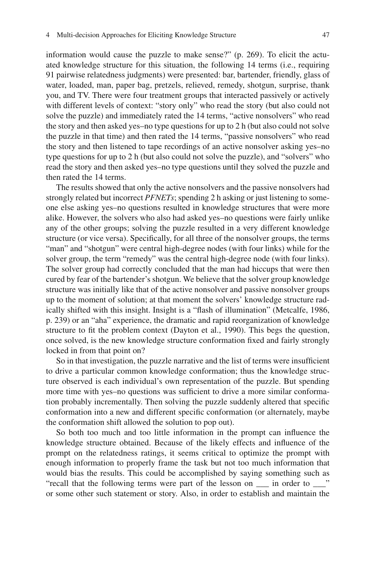information would cause the puzzle to make sense?" (p. 269). To elicit the actuated knowledge structure for this situation, the following 14 terms (i.e., requiring 91 pairwise relatedness judgments) were presented: bar, bartender, friendly, glass of water, loaded, man, paper bag, pretzels, relieved, remedy, shotgun, surprise, thank you, and TV. There were four treatment groups that interacted passively or actively with different levels of context: "story only" who read the story (but also could not solve the puzzle) and immediately rated the 14 terms, "active nonsolvers" who read the story and then asked yes–no type questions for up to 2 h (but also could not solve the puzzle in that time) and then rated the 14 terms, "passive nonsolvers" who read the story and then listened to tape recordings of an active nonsolver asking yes–no type questions for up to 2 h (but also could not solve the puzzle), and "solvers" who read the story and then asked yes–no type questions until they solved the puzzle and then rated the 14 terms.

The results showed that only the active nonsolvers and the passive nonsolvers had strongly related but incorrect *PFNETs*; spending 2 h asking or just listening to someone else asking yes–no questions resulted in knowledge structures that were more alike. However, the solvers who also had asked yes–no questions were fairly unlike any of the other groups; solving the puzzle resulted in a very different knowledge structure (or vice versa). Specifically, for all three of the nonsolver groups, the terms "man" and "shotgun" were central high-degree nodes (with four links) while for the solver group, the term "remedy" was the central high-degree node (with four links). The solver group had correctly concluded that the man had hiccups that were then cured by fear of the bartender's shotgun. We believe that the solver group knowledge structure was initially like that of the active nonsolver and passive nonsolver groups up to the moment of solution; at that moment the solvers' knowledge structure radically shifted with this insight. Insight is a "flash of illumination" (Metcalfe, [1986,](#page-17-12) p. 239) or an "aha" experience, the dramatic and rapid reorganization of knowledge structure to fit the problem context (Dayton et al., [1990\)](#page-17-11). This begs the question, once solved, is the new knowledge structure conformation fixed and fairly strongly locked in from that point on?

So in that investigation, the puzzle narrative and the list of terms were insufficient to drive a particular common knowledge conformation; thus the knowledge structure observed is each individual's own representation of the puzzle. But spending more time with yes–no questions was sufficient to drive a more similar conformation probably incrementally. Then solving the puzzle suddenly altered that specific conformation into a new and different specific conformation (or alternately, maybe the conformation shift allowed the solution to pop out).

So both too much and too little information in the prompt can influence the knowledge structure obtained. Because of the likely effects and influence of the prompt on the relatedness ratings, it seems critical to optimize the prompt with enough information to properly frame the task but not too much information that would bias the results. This could be accomplished by saying something such as "recall that the following terms were part of the lesson on \_\_\_ in order to \_\_\_" or some other such statement or story. Also, in order to establish and maintain the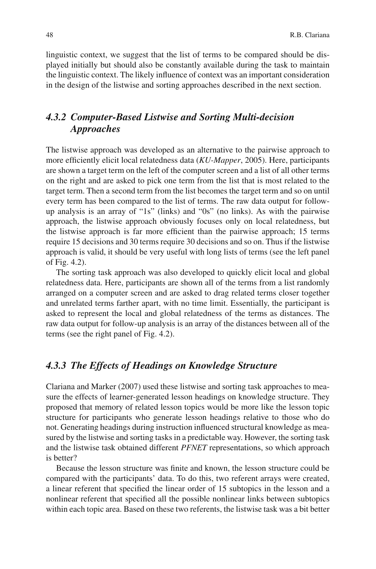linguistic context, we suggest that the list of terms to be compared should be displayed initially but should also be constantly available during the task to maintain the linguistic context. The likely influence of context was an important consideration in the design of the listwise and sorting approaches described in the next section.

# *4.3.2 Computer-Based Listwise and Sorting Multi-decision Approaches*

The listwise approach was developed as an alternative to the pairwise approach to more efficiently elicit local relatedness data (*KU-Mapper*, 2005). Here, participants are shown a target term on the left of the computer screen and a list of all other terms on the right and are asked to pick one term from the list that is most related to the target term. Then a second term from the list becomes the target term and so on until every term has been compared to the list of terms. The raw data output for followup analysis is an array of "1s" (links) and "0s" (no links). As with the pairwise approach, the listwise approach obviously focuses only on local relatedness, but the listwise approach is far more efficient than the pairwise approach; 15 terms require 15 decisions and 30 terms require 30 decisions and so on. Thus if the listwise approach is valid, it should be very useful with long lists of terms (see the left panel of Fig. [4.2\)](#page-8-0).

The sorting task approach was also developed to quickly elicit local and global relatedness data. Here, participants are shown all of the terms from a list randomly arranged on a computer screen and are asked to drag related terms closer together and unrelated terms farther apart, with no time limit. Essentially, the participant is asked to represent the local and global relatedness of the terms as distances. The raw data output for follow-up analysis is an array of the distances between all of the terms (see the right panel of Fig. [4.2\)](#page-8-0).

## *4.3.3 The Effects of Headings on Knowledge Structure*

Clariana and Marker [\(2007\)](#page-17-13) used these listwise and sorting task approaches to measure the effects of learner-generated lesson headings on knowledge structure. They proposed that memory of related lesson topics would be more like the lesson topic structure for participants who generate lesson headings relative to those who do not. Generating headings during instruction influenced structural knowledge as measured by the listwise and sorting tasks in a predictable way. However, the sorting task and the listwise task obtained different *PFNET* representations, so which approach is better?

Because the lesson structure was finite and known, the lesson structure could be compared with the participants' data. To do this, two referent arrays were created, a linear referent that specified the linear order of 15 subtopics in the lesson and a nonlinear referent that specified all the possible nonlinear links between subtopics within each topic area. Based on these two referents, the listwise task was a bit better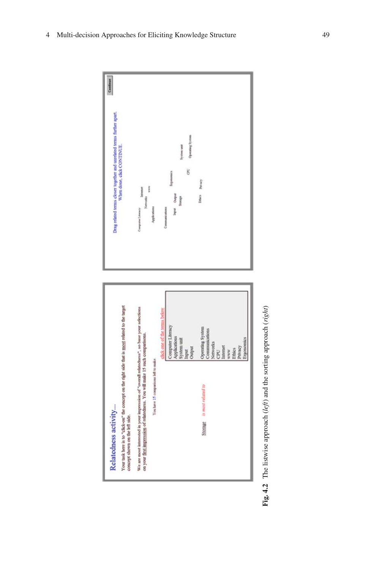

<span id="page-8-0"></span>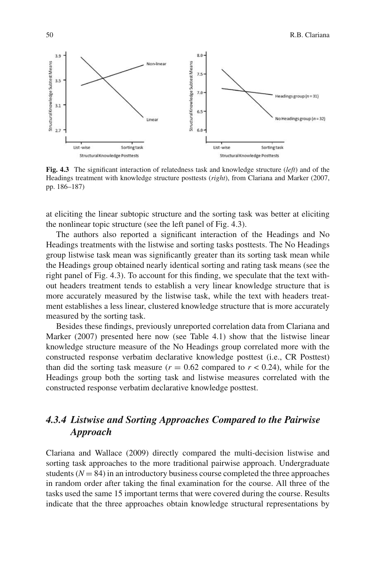<span id="page-9-0"></span>

**Fig. 4.3** The significant interaction of relatedness task and knowledge structure (*left*) and of the Headings treatment with knowledge structure posttests (*right*), from Clariana and Marker [\(2007,](#page-17-13) pp. 186–187)

at eliciting the linear subtopic structure and the sorting task was better at eliciting the nonlinear topic structure (see the left panel of Fig. [4.3\)](#page-9-0).

The authors also reported a significant interaction of the Headings and No Headings treatments with the listwise and sorting tasks posttests. The No Headings group listwise task mean was significantly greater than its sorting task mean while the Headings group obtained nearly identical sorting and rating task means (see the right panel of Fig. [4.3\)](#page-9-0). To account for this finding, we speculate that the text without headers treatment tends to establish a very linear knowledge structure that is more accurately measured by the listwise task, while the text with headers treatment establishes a less linear, clustered knowledge structure that is more accurately measured by the sorting task.

Besides these findings, previously unreported correlation data from Clariana and Marker [\(2007\)](#page-17-13) presented here now (see Table [4.1\)](#page-10-0) show that the listwise linear knowledge structure measure of the No Headings group correlated more with the constructed response verbatim declarative knowledge posttest (i.e., CR Posttest) than did the sorting task measure  $(r = 0.62$  compared to  $r < 0.24$ ), while for the Headings group both the sorting task and listwise measures correlated with the constructed response verbatim declarative knowledge posttest.

## *4.3.4 Listwise and Sorting Approaches Compared to the Pairwise Approach*

Clariana and Wallace [\(2009\)](#page-17-14) directly compared the multi-decision listwise and sorting task approaches to the more traditional pairwise approach. Undergraduate students  $(N = 84)$  in an introductory business course completed the three approaches in random order after taking the final examination for the course. All three of the tasks used the same 15 important terms that were covered during the course. Results indicate that the three approaches obtain knowledge structural representations by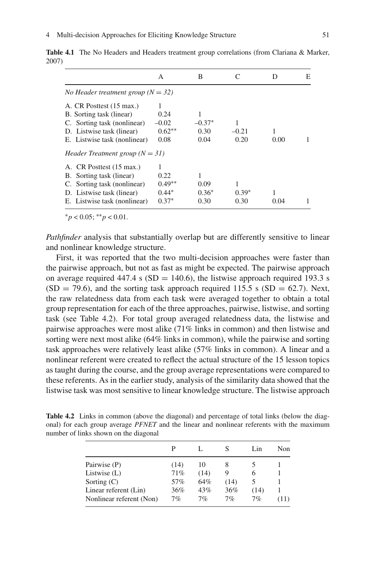<span id="page-10-0"></span>

|                                                                   | A                | В             |                 |        | E |  |  |  |
|-------------------------------------------------------------------|------------------|---------------|-----------------|--------|---|--|--|--|
| No Header treatment group $(N = 32)$                              |                  |               |                 |        |   |  |  |  |
| A. CR Posttest (15 max.)                                          |                  |               |                 |        |   |  |  |  |
| B. Sorting task (linear)<br>C. Sorting task (nonlinear)           | 0.24<br>$-0.02$  | 1<br>$-0.37*$ |                 |        |   |  |  |  |
| D. Listwise task (linear)                                         | $0.62**$<br>0.08 | 0.30<br>0.04  | $-0.21$<br>0.20 | 0.00   |   |  |  |  |
| E. Listwise task (nonlinear)<br>Header Treatment group $(N = 31)$ |                  |               |                 |        |   |  |  |  |
|                                                                   |                  |               |                 |        |   |  |  |  |
| A. CR Posttest (15 max.)<br>B. Sorting task (linear)              | 0.22             |               |                 |        |   |  |  |  |
| C. Sorting task (nonlinear)                                       | $0.49**$         | 0.09          |                 |        |   |  |  |  |
| D. Listwise task (linear)                                         | $0.44*$          | $0.36*$       | $0.39*$         |        |   |  |  |  |
| E. Listwise task (nonlinear)                                      | $0.37*$          | 0.30          | 0.30            | (1.04) |   |  |  |  |

**Table 4.1** The No Headers and Headers treatment group correlations (from Clariana & Marker, [2007\)](#page-17-13)

<sup>∗</sup>*p* < 0.05; ∗∗*p* < 0.01.

*Pathfinder* analysis that substantially overlap but are differently sensitive to linear and nonlinear knowledge structure.

First, it was reported that the two multi-decision approaches were faster than the pairwise approach, but not as fast as might be expected. The pairwise approach on average required 447.4 s (SD = 140.6), the listwise approach required 193.3 s  $(SD = 79.6)$ , and the sorting task approach required 115.5 s  $(SD = 62.7)$ . Next, the raw relatedness data from each task were averaged together to obtain a total group representation for each of the three approaches, pairwise, listwise, and sorting task (see Table [4.2\)](#page-10-1). For total group averaged relatedness data, the listwise and pairwise approaches were most alike (71% links in common) and then listwise and sorting were next most alike (64% links in common), while the pairwise and sorting task approaches were relatively least alike (57% links in common). A linear and a nonlinear referent were created to reflect the actual structure of the 15 lesson topics as taught during the course, and the group average representations were compared to these referents. As in the earlier study, analysis of the similarity data showed that the listwise task was most sensitive to linear knowledge structure. The listwise approach

**Table 4.2** Links in common (above the diagonal) and percentage of total links (below the diagonal) for each group average *PFNET* and the linear and nonlinear referents with the maximum number of links shown on the diagonal

<span id="page-10-1"></span>

|                          | Р    |      |      | Lin  | Non |
|--------------------------|------|------|------|------|-----|
| Pairwise (P)             | (14) | 10   | 8    | C    |     |
| Listwise $(L)$           | 71%  | (14) | 9    | 6    |     |
| Sorting $(C)$            | 57%  | 64%  | (14) | 5    |     |
| Linear referent (Lin)    | 36%  | 43%  | 36%  | (14) |     |
| Nonlinear referent (Non) | 7%   | 7%   | 7%   | 7%   |     |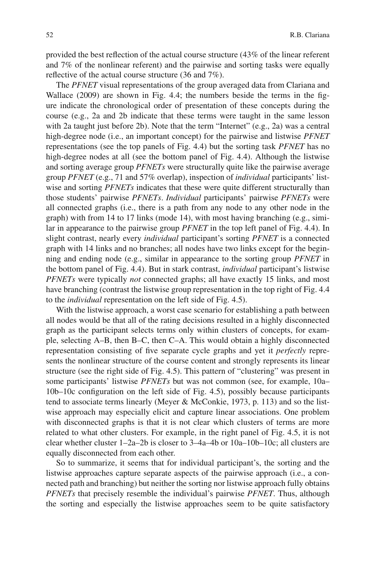provided the best reflection of the actual course structure (43% of the linear referent and 7% of the nonlinear referent) and the pairwise and sorting tasks were equally reflective of the actual course structure (36 and 7%).

The *PFNET* visual representations of the group averaged data from Clariana and Wallace [\(2009\)](#page-17-14) are shown in Fig. [4.4;](#page-12-0) the numbers beside the terms in the figure indicate the chronological order of presentation of these concepts during the course (e.g., 2a and 2b indicate that these terms were taught in the same lesson with 2a taught just before 2b). Note that the term "Internet" (e.g., 2a) was a central high-degree node (i.e., an important concept) for the pairwise and listwise *PFNET* representations (see the top panels of Fig. [4.4\)](#page-12-0) but the sorting task *PFNET* has no high-degree nodes at all (see the bottom panel of Fig. [4.4\)](#page-12-0). Although the listwise and sorting average group *PFNETs* were structurally quite like the pairwise average group *PFNET* (e.g., 71 and 57% overlap), inspection of *individual* participants' listwise and sorting *PFNETs* indicates that these were quite different structurally than those students' pairwise *PFNETs*. *Individual* participants' pairwise *PFNETs* were all connected graphs (i.e., there is a path from any node to any other node in the graph) with from 14 to 17 links (mode 14), with most having branching (e.g., similar in appearance to the pairwise group *PFNET* in the top left panel of Fig. [4.4\)](#page-12-0). In slight contrast, nearly every *individual* participant's sorting *PFNET* is a connected graph with 14 links and no branches; all nodes have two links except for the beginning and ending node (e.g., similar in appearance to the sorting group *PFNET* in the bottom panel of Fig. [4.4\)](#page-12-0). But in stark contrast, *individual* participant's listwise *PFNETs* were typically *not* connected graphs; all have exactly 15 links, and most have branching (contrast the listwise group representation in the top right of Fig. [4.4](#page-12-0) to the *individual* representation on the left side of Fig. [4.5\)](#page-13-0).

With the listwise approach, a worst case scenario for establishing a path between all nodes would be that all of the rating decisions resulted in a highly disconnected graph as the participant selects terms only within clusters of concepts, for example, selecting A–B, then B–C, then C–A. This would obtain a highly disconnected representation consisting of five separate cycle graphs and yet it *perfectly* represents the nonlinear structure of the course content and strongly represents its linear structure (see the right side of Fig. [4.5\)](#page-13-0). This pattern of "clustering" was present in some participants' listwise *PFNETs* but was not common (see, for example, 10a– 10b–10c configuration on the left side of Fig. [4.5\)](#page-13-0), possibly because participants tend to associate terms linearly (Meyer & McConkie, [1973,](#page-17-15) p. 113) and so the listwise approach may especially elicit and capture linear associations. One problem with disconnected graphs is that it is not clear which clusters of terms are more related to what other clusters. For example, in the right panel of Fig. [4.5,](#page-13-0) it is not clear whether cluster 1–2a–2b is closer to 3–4a–4b or 10a–10b–10c; all clusters are equally disconnected from each other.

So to summarize, it seems that for individual participant's, the sorting and the listwise approaches capture separate aspects of the pairwise approach (i.e., a connected path and branching) but neither the sorting nor listwise approach fully obtains *PFNETs* that precisely resemble the individual's pairwise *PFNET*. Thus, although the sorting and especially the listwise approaches seem to be quite satisfactory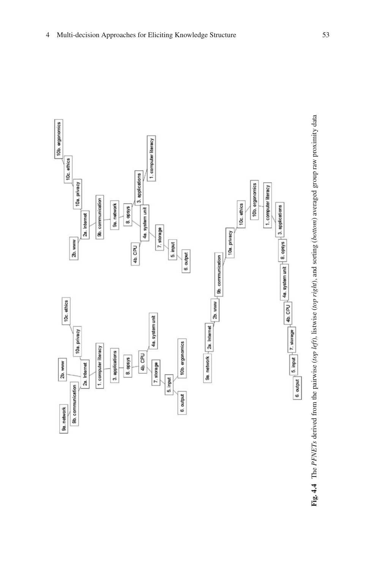<span id="page-12-0"></span>

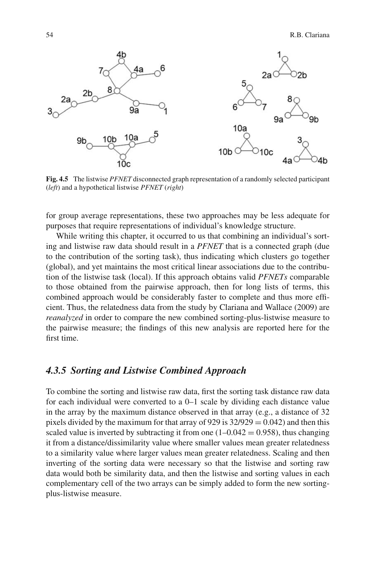<span id="page-13-0"></span>

**Fig. 4.5** The listwise *PFNET* disconnected graph representation of a randomly selected participant (*left*) and a hypothetical listwise *PFNET* (*right*)

for group average representations, these two approaches may be less adequate for purposes that require representations of individual's knowledge structure.

While writing this chapter, it occurred to us that combining an individual's sorting and listwise raw data should result in a *PFNET* that is a connected graph (due to the contribution of the sorting task), thus indicating which clusters go together (global), and yet maintains the most critical linear associations due to the contribution of the listwise task (local). If this approach obtains valid *PFNETs* comparable to those obtained from the pairwise approach, then for long lists of terms, this combined approach would be considerably faster to complete and thus more efficient. Thus, the relatedness data from the study by Clariana and Wallace [\(2009\)](#page-17-14) are *reanalyzed* in order to compare the new combined sorting-plus-listwise measure to the pairwise measure; the findings of this new analysis are reported here for the first time.

## *4.3.5 Sorting and Listwise Combined Approach*

To combine the sorting and listwise raw data, first the sorting task distance raw data for each individual were converted to a 0–1 scale by dividing each distance value in the array by the maximum distance observed in that array (e.g., a distance of 32 pixels divided by the maximum for that array of 929 is  $32/929 = 0.042$ ) and then this scaled value is inverted by subtracting it from one  $(1-0.042 = 0.958)$ , thus changing it from a distance/dissimilarity value where smaller values mean greater relatedness to a similarity value where larger values mean greater relatedness. Scaling and then inverting of the sorting data were necessary so that the listwise and sorting raw data would both be similarity data, and then the listwise and sorting values in each complementary cell of the two arrays can be simply added to form the new sortingplus-listwise measure.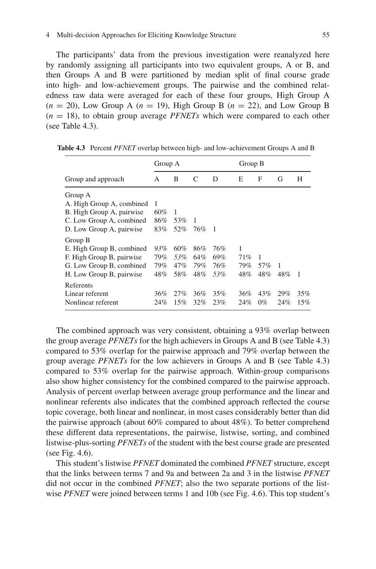The participants' data from the previous investigation were reanalyzed here by randomly assigning all participants into two equivalent groups, A or B, and then Groups A and B were partitioned by median split of final course grade into high- and low-achievement groups. The pairwise and the combined relatedness raw data were averaged for each of these four groups, High Group A (*n* = 20), Low Group A (*n* = 19), High Group B (*n* = 22), and Low Group B  $(n = 18)$ , to obtain group average *PFNETs* which were compared to each other (see Table [4.3\)](#page-14-0).

<span id="page-14-0"></span>

|                           | Group A |     |     | Group B |     |       |     |     |
|---------------------------|---------|-----|-----|---------|-----|-------|-----|-----|
| Group and approach        | А       | B   | C   | D       | Е   | F     | G   | Н   |
| Group A                   |         |     |     |         |     |       |     |     |
| A. High Group A, combined | 1       |     |     |         |     |       |     |     |
| B. High Group A, pairwise | 60%     | 1   |     |         |     |       |     |     |
| C. Low Group A, combined  | 86%     | 53% | -1  |         |     |       |     |     |
| D. Low Group A, pairwise  | 83%     | 52% | 76% | - 1     |     |       |     |     |
| Group B                   |         |     |     |         |     |       |     |     |
| E. High Group B, combined | 93%     | 60% | 86% | 76%     | 1   |       |     |     |
| F. High Group B, pairwise | 79%     | 53% | 64% | 69%     | 71% | 1     |     |     |
| G. Low Group B, combined  | 79%     | 47% | 79% | 76%     | 79% | 57%   | 1   |     |
| H. Low Group B, pairwise  | 48%     | 58% | 48% | 53%     | 48% | 48%   | 48% | -1  |
| Referents                 |         |     |     |         |     |       |     |     |
| Linear referent           | 36%     | 27% | 36% | 35%     | 36% | 43%   | 29% | 35% |
| Nonlinear referent        | 24%     | 15% | 32% | 23%     | 24% | $0\%$ | 24% | 15% |
|                           |         |     |     |         |     |       |     |     |

**Table 4.3** Percent *PFNET* overlap between high- and low-achievement Groups A and B

The combined approach was very consistent, obtaining a 93% overlap between the group average *PFNETs* for the high achievers in Groups A and B (see Table [4.3\)](#page-14-0) compared to 53% overlap for the pairwise approach and 79% overlap between the group average *PFNETs* for the low achievers in Groups A and B (see Table [4.3\)](#page-14-0) compared to 53% overlap for the pairwise approach. Within-group comparisons also show higher consistency for the combined compared to the pairwise approach. Analysis of percent overlap between average group performance and the linear and nonlinear referents also indicates that the combined approach reflected the course topic coverage, both linear and nonlinear, in most cases considerably better than did the pairwise approach (about 60% compared to about 48%). To better comprehend these different data representations, the pairwise, listwise, sorting, and combined listwise-plus-sorting *PFNETs* of the student with the best course grade are presented (see Fig. [4.6\)](#page-15-0).

This student's listwise *PFNET* dominated the combined *PFNET* structure, except that the links between terms 7 and 9a and between 2a and 3 in the listwise *PFNET* did not occur in the combined *PFNET*; also the two separate portions of the listwise *PFNET* were joined between terms 1 and 10b (see Fig. [4.6\)](#page-15-0). This top student's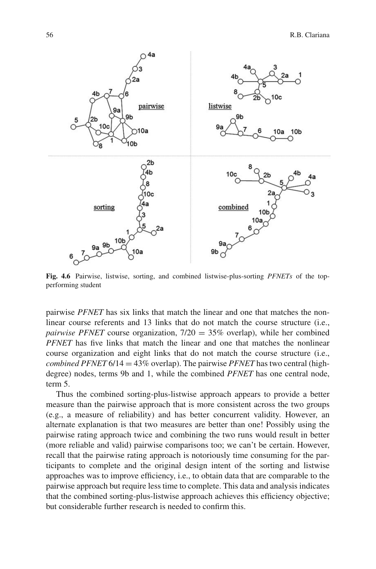<span id="page-15-0"></span>

**Fig. 4.6** Pairwise, listwise, sorting, and combined listwise-plus-sorting *PFNETs* of the topperforming student

pairwise *PFNET* has six links that match the linear and one that matches the nonlinear course referents and 13 links that do not match the course structure (i.e., *pairwise PFNET* course organization, 7/20 = 35% overlap), while her combined *PFNET* has five links that match the linear and one that matches the nonlinear course organization and eight links that do not match the course structure (i.e., *combined PFNET* 6/14 = 43% overlap). The pairwise *PFNET* has two central (highdegree) nodes, terms 9b and 1, while the combined *PFNET* has one central node, term 5.

Thus the combined sorting-plus-listwise approach appears to provide a better measure than the pairwise approach that is more consistent across the two groups (e.g., a measure of reliability) and has better concurrent validity. However, an alternate explanation is that two measures are better than one! Possibly using the pairwise rating approach twice and combining the two runs would result in better (more reliable and valid) pairwise comparisons too; we can't be certain. However, recall that the pairwise rating approach is notoriously time consuming for the participants to complete and the original design intent of the sorting and listwise approaches was to improve efficiency, i.e., to obtain data that are comparable to the pairwise approach but require less time to complete. This data and analysis indicates that the combined sorting-plus-listwise approach achieves this efficiency objective; but considerable further research is needed to confirm this.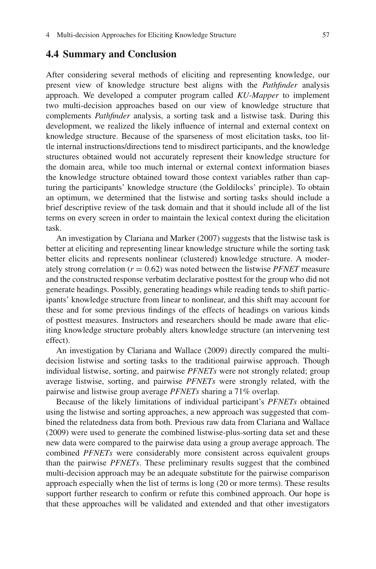#### **4.4 Summary and Conclusion**

After considering several methods of eliciting and representing knowledge, our present view of knowledge structure best aligns with the *Pathfinder* analysis approach. We developed a computer program called *KU-Mapper* to implement two multi-decision approaches based on our view of knowledge structure that complements *Pathfinder* analysis, a sorting task and a listwise task. During this development, we realized the likely influence of internal and external context on knowledge structure. Because of the sparseness of most elicitation tasks, too little internal instructions/directions tend to misdirect participants, and the knowledge structures obtained would not accurately represent their knowledge structure for the domain area, while too much internal or external context information biases the knowledge structure obtained toward those context variables rather than capturing the participants' knowledge structure (the Goldilocks' principle). To obtain an optimum, we determined that the listwise and sorting tasks should include a brief descriptive review of the task domain and that it should include all of the list terms on every screen in order to maintain the lexical context during the elicitation task.

An investigation by Clariana and Marker [\(2007\)](#page-17-13) suggests that the listwise task is better at eliciting and representing linear knowledge structure while the sorting task better elicits and represents nonlinear (clustered) knowledge structure. A moderately strong correlation  $(r = 0.62)$  was noted between the listwise *PFNET* measure and the constructed response verbatim declarative posttest for the group who did not generate headings. Possibly, generating headings while reading tends to shift participants' knowledge structure from linear to nonlinear, and this shift may account for these and for some previous findings of the effects of headings on various kinds of posttest measures. Instructors and researchers should be made aware that eliciting knowledge structure probably alters knowledge structure (an intervening test effect).

An investigation by Clariana and Wallace [\(2009\)](#page-17-14) directly compared the multidecision listwise and sorting tasks to the traditional pairwise approach. Though individual listwise, sorting, and pairwise *PFNETs* were not strongly related; group average listwise, sorting, and pairwise *PFNETs* were strongly related, with the pairwise and listwise group average *PFNETs* sharing a 71% overlap.

Because of the likely limitations of individual participant's *PFNETs* obtained using the listwise and sorting approaches, a new approach was suggested that combined the relatedness data from both. Previous raw data from Clariana and Wallace [\(2009\)](#page-17-14) were used to generate the combined listwise-plus-sorting data set and these new data were compared to the pairwise data using a group average approach. The combined *PFNETs* were considerably more consistent across equivalent groups than the pairwise *PFNETs*. These preliminary results suggest that the combined multi-decision approach may be an adequate substitute for the pairwise comparison approach especially when the list of terms is long (20 or more terms). These results support further research to confirm or refute this combined approach. Our hope is that these approaches will be validated and extended and that other investigators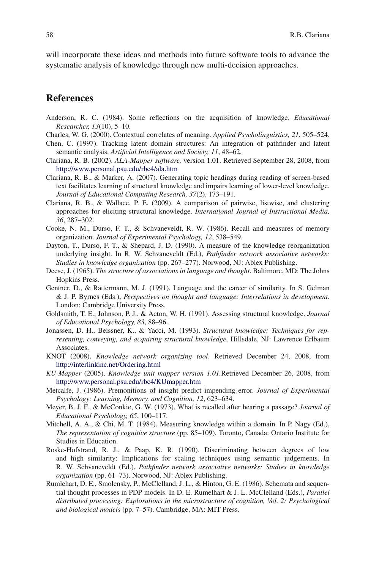will incorporate these ideas and methods into future software tools to advance the systematic analysis of knowledge through new multi-decision approaches.

## **References**

- Anderson, R. C. (1984). Some reflections on the acquisition of knowledge. *Educational Researcher, 13*(10), 5–10.
- <span id="page-17-0"></span>Charles, W. G. (2000). Contextual correlates of meaning. *Applied Psycholinguistics, 21*, 505–524.
- <span id="page-17-10"></span>Chen, C. (1997). Tracking latent domain structures: An integration of pathfinder and latent semantic analysis. *Artificial Intelligence and Society, 11*, 48–62.
- Clariana, R. B. (2002). *ALA-Mapper software,* version 1.01. Retrieved September 28, 2008, from http://www.personal.psu.edu/rbc4/ala.htm
- Clariana, R. B., & Marker, A. (2007). Generating topic headings during reading of screen-based text facilitates learning of structural knowledge and impairs learning of lower-level knowledge. *Journal of Educational Computing Research, 37*(2), 173–191.
- <span id="page-17-13"></span>Clariana, R. B., & Wallace, P. E. (2009). A comparison of pairwise, listwise, and clustering approaches for eliciting structural knowledge. *International Journal of Instructional Media, 36*, 287–302.
- <span id="page-17-14"></span>Cooke, N. M., Durso, F. T., & Schvaneveldt, R. W. (1986). Recall and measures of memory organization. *Journal of Experimental Psychology, 12*, 538–549.
- <span id="page-17-6"></span>Dayton, T., Durso, F. T., & Shepard, J. D. (1990). A measure of the knowledge reorganization underlying insight. In R. W. Schvaneveldt (Ed.), *Pathfinder network associative networks: Studies in knowledge organization* (pp. 267–277). Norwood, NJ: Ablex Publishing.
- <span id="page-17-11"></span>Deese, J. (1965). *The structure of associations in language and thought*. Baltimore, MD: The Johns Hopkins Press.
- <span id="page-17-4"></span>Gentner, D., & Rattermann, M. J. (1991). Language and the career of similarity. In S. Gelman & J. P. Byrnes (Eds.), *Perspectives on thought and language: Interrelations in development*. London: Cambridge University Press.
- <span id="page-17-8"></span>Goldsmith, T. E., Johnson, P. J., & Acton, W. H. (1991). Assessing structural knowledge. *Journal of Educational Psychology, 83*, 88–96.
- <span id="page-17-7"></span>Jonassen, D. H., Beissner, K., & Yacci, M. (1993). *Structural knowledge: Techniques for representing, conveying, and acquiring structural knowledge*. Hillsdale, NJ: Lawrence Erlbaum Associates.
- <span id="page-17-2"></span>KNOT (2008). *Knowledge network organizing tool*. Retrieved December 24, 2008, from http://interlinkinc.net/Ordering.html
- <span id="page-17-9"></span>*KU-Mapper* (2005). *Knowledge unit mapper version 1.01.*Retrieved December 26, 2008, from http://www.personal.psu.edu/rbc4/KUmapper.htm
- Metcalfe, J. (1986). Premonitions of insight predict impending error. *Journal of Experimental Psychology: Learning, Memory, and Cognition, 12*, 623–634.
- <span id="page-17-12"></span>Meyer, B. J. F., & McConkie, G. W. (1973). What is recalled after hearing a passage? *Journal of Educational Psychology, 65*, 100–117.
- <span id="page-17-15"></span>Mitchell, A. A., & Chi, M. T. (1984). Measuring knowledge within a domain. In P. Nagy (Ed.), *The representation of cognitive structure* (pp. 85–109). Toronto, Canada: Ontario Institute for Studies in Education.
- <span id="page-17-1"></span>Roske-Hofstrand, R. J., & Paap, K. R. (1990). Discriminating between degrees of low and high similarity: Implications for scaling techniques using semantic judgements. In R. W. Schvaneveldt (Ed.), *Pathfinder network associative networks: Studies in knowledge organization* (pp. 61–73). Norwood, NJ: Ablex Publishing.
- <span id="page-17-5"></span><span id="page-17-3"></span>Rumlehart, D. E., Smolensky, P., McClelland, J. L., & Hinton, G. E. (1986). Schemata and sequential thought processes in PDP models. In D. E. Rumelhart & J. L. McClelland (Eds.), *Parallel distributed processing: Explorations in the microstructure of cognition, Vol. 2: Psychological and biological models* (pp. 7–57). Cambridge, MA: MIT Press.